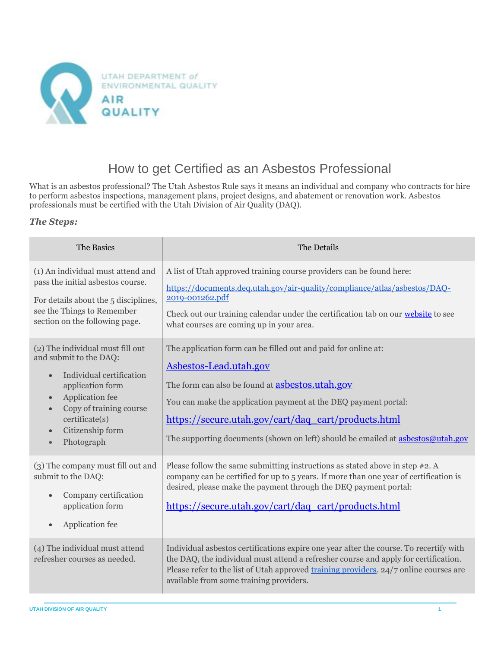

## How to get Certified as an Asbestos Professional

What is an asbestos professional? The Utah Asbestos Rule says it means an individual and company who contracts for hire to perform asbestos inspections, management plans, project designs, and abatement or renovation work. Asbestos professionals must be certified with the Utah Division of Air Quality (DAQ).

## *The Steps:*

| The Basics                                                                                                                                                                                                                                                                    | The Details                                                                                                                                                                                                                                                                                                                                                     |
|-------------------------------------------------------------------------------------------------------------------------------------------------------------------------------------------------------------------------------------------------------------------------------|-----------------------------------------------------------------------------------------------------------------------------------------------------------------------------------------------------------------------------------------------------------------------------------------------------------------------------------------------------------------|
| (1) An individual must attend and<br>pass the initial asbestos course.<br>For details about the 5 disciplines,<br>see the Things to Remember<br>section on the following page.                                                                                                | A list of Utah approved training course providers can be found here:<br>https://documents.deq.utah.gov/air-quality/compliance/atlas/asbestos/DAQ-<br>2019-001262.pdf<br>Check out our training calendar under the certification tab on our website to see<br>what courses are coming up in your area.                                                           |
| (2) The individual must fill out<br>and submit to the DAQ:<br>Individual certification<br>$\bullet$<br>application form<br>Application fee<br>$\bullet$<br>Copy of training course<br>$\bullet$<br>certificate(s)<br>Citizenship form<br>$\bullet$<br>Photograph<br>$\bullet$ | The application form can be filled out and paid for online at:<br>Asbestos-Lead.utah.gov<br>The form can also be found at <b>asbestos.utah.gov</b><br>You can make the application payment at the DEQ payment portal:<br>https://secure.utah.gov/cart/daq_cart/products.html<br>The supporting documents (shown on left) should be emailed at asbestos@utah.gov |
| (3) The company must fill out and<br>submit to the DAQ:<br>Company certification<br>application form<br>Application fee<br>$\bullet$                                                                                                                                          | Please follow the same submitting instructions as stated above in step $#2$ . A<br>company can be certified for up to 5 years. If more than one year of certification is<br>desired, please make the payment through the DEQ payment portal:<br>https://secure.utah.gov/cart/daq_cart/products.html                                                             |
| (4) The individual must attend<br>refresher courses as needed.                                                                                                                                                                                                                | Individual asbestos certifications expire one year after the course. To recertify with<br>the DAQ, the individual must attend a refresher course and apply for certification.<br>Please refer to the list of Utah approved training providers. 24/7 online courses are<br>available from some training providers.                                               |